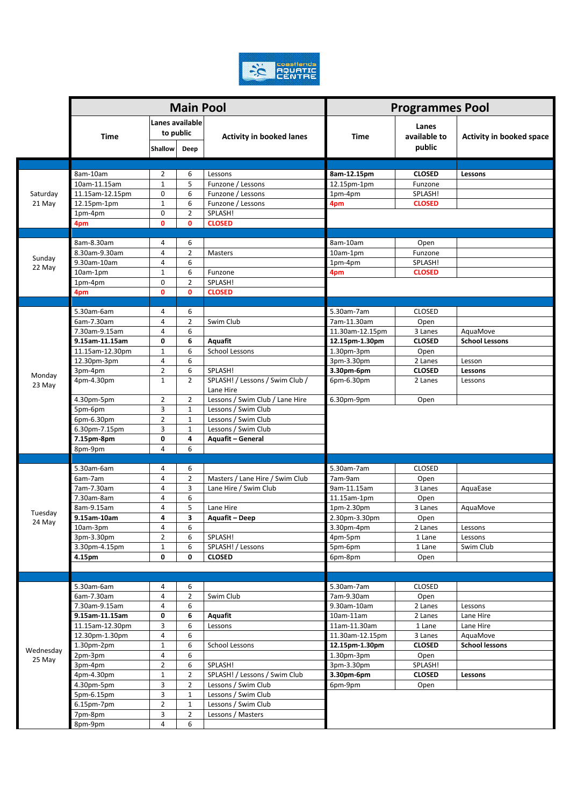

|                     |                                |                              | <b>Main Pool</b>    |                                  | <b>Programmes Pool</b>   |                        |                                 |
|---------------------|--------------------------------|------------------------------|---------------------|----------------------------------|--------------------------|------------------------|---------------------------------|
|                     | Time                           | Lanes available<br>to public |                     |                                  |                          | Lanes                  |                                 |
|                     |                                | Shallow                      | Deep                | <b>Activity in booked lanes</b>  | <b>Time</b>              | available to<br>public | <b>Activity in booked space</b> |
|                     |                                |                              |                     |                                  |                          |                        |                                 |
|                     | 8am-10am                       | 2                            | 6                   | Lessons                          | 8am-12.15pm              | <b>CLOSED</b>          | Lessons                         |
|                     | 10am-11.15am                   | $\mathbf{1}$                 | 5                   | Funzone / Lessons                | 12.15pm-1pm              | Funzone                |                                 |
| Saturday<br>21 May  | 11.15am-12.15pm                | 0                            | 6                   | Funzone / Lessons                | 1pm-4pm                  | SPLASH!                |                                 |
|                     | 12.15pm-1pm                    | $\mathbf{1}$                 | 6                   | Funzone / Lessons                | 4pm                      | <b>CLOSED</b>          |                                 |
|                     | 1pm-4pm                        | $\mathbf 0$                  | $\overline{2}$      | SPLASH!                          |                          |                        |                                 |
|                     | 4pm                            | 0                            | 0                   | <b>CLOSED</b>                    |                          |                        |                                 |
| Sunday<br>22 May    | 8am-8.30am                     | 4                            | 6                   |                                  | 8am-10am                 | Open                   |                                 |
|                     | 8.30am-9.30am                  | 4                            | $\overline{2}$      | Masters                          | 10am-1pm                 | Funzone                |                                 |
|                     | 9.30am-10am                    | 4                            | 6                   |                                  | 1pm-4pm                  | SPLASH!                |                                 |
|                     | 10am-1pm                       | $\mathbf{1}$                 | 6                   | Funzone                          | 4pm                      | <b>CLOSED</b>          |                                 |
|                     | 1pm-4pm                        | 0                            | $\overline{2}$      | SPLASH!                          |                          |                        |                                 |
|                     | 4pm                            | 0                            | 0                   | <b>CLOSED</b>                    |                          |                        |                                 |
|                     |                                |                              |                     |                                  |                          |                        |                                 |
|                     | 5.30am-6am                     | 4                            | 6                   |                                  | 5.30am-7am               | <b>CLOSED</b>          |                                 |
|                     | 6am-7.30am                     | 4                            | $\overline{2}$      | Swim Club                        | 7am-11.30am              | Open                   |                                 |
|                     | 7.30am-9.15am                  | 4                            | 6                   |                                  | 11.30am-12.15pm          | 3 Lanes                | AquaMove                        |
|                     | 9.15am-11.15am                 | $\mathbf 0$                  | 6<br>6              | Aquafit<br><b>School Lessons</b> | 12.15pm-1.30pm           | <b>CLOSED</b>          | <b>School Lessons</b>           |
|                     | 11.15am-12.30pm<br>12.30pm-3pm | 1<br>4                       | 6                   |                                  | 1.30pm-3pm<br>3pm-3.30pm | Open<br>2 Lanes        | Lesson                          |
|                     | 3pm-4pm                        | $\overline{2}$               | 6                   | SPLASH!                          | 3.30pm-6pm               | <b>CLOSED</b>          | Lessons                         |
| Monday              | 4pm-4.30pm                     | $\mathbf{1}$                 | $\overline{2}$      | SPLASH! / Lessons / Swim Club /  | 6pm-6.30pm               | 2 Lanes                | Lessons                         |
| 23 May              |                                |                              |                     | Lane Hire                        |                          |                        |                                 |
|                     | 4.30pm-5pm                     | $\overline{2}$               | 2                   | Lessons / Swim Club / Lane Hire  | 6.30pm-9pm               | Open                   |                                 |
|                     | 5pm-6pm                        | 3                            | $\mathbf 1$         | Lessons / Swim Club              |                          |                        |                                 |
|                     | 6pm-6.30pm                     | $\overline{2}$               | $\mathbf{1}$        | Lessons / Swim Club              |                          |                        |                                 |
|                     | 6.30pm-7.15pm                  | 3                            | $\mathbf 1$         | Lessons / Swim Club              |                          |                        |                                 |
|                     | 7.15pm-8pm                     | 0                            | 4                   | <b>Aquafit - General</b>         |                          |                        |                                 |
|                     | 8pm-9pm                        | 4                            | 6                   |                                  |                          |                        |                                 |
|                     | 5.30am-6am                     |                              |                     |                                  | 5.30am-7am               | <b>CLOSED</b>          |                                 |
|                     | 6am-7am                        | 4<br>$\overline{4}$          | 6<br>$\overline{2}$ | Masters / Lane Hire / Swim Club  | 7am-9am                  | Open                   |                                 |
|                     | 7am-7.30am                     | 4                            | 3                   | Lane Hire / Swim Club            | 9am-11.15am              | 3 Lanes                | AquaEase                        |
|                     | 7.30am-8am                     | 4                            | 6                   |                                  | 11.15am-1pm              | Open                   |                                 |
| Tuesday             | 8am-9.15am                     | 4                            | 5                   | Lane Hire                        | 1pm-2.30pm               | 3 Lanes                | AquaMove                        |
|                     | 9.15am-10am                    | 4                            | 3                   | <b>Aquafit - Deep</b>            | 2.30pm-3.30pm            | Open                   |                                 |
| 24 May              | 10am-3pm                       | 4                            | 6                   |                                  | 3.30pm-4pm               | 2 Lanes                | Lessons                         |
|                     | 3pm-3.30pm                     | $\overline{2}$               | 6                   | SPLASH!                          | 4pm-5pm                  | 1 Lane                 | Lessons                         |
|                     | 3.30pm-4.15pm                  | $\mathbf 1$                  | 6                   | SPLASH! / Lessons                | 5pm-6pm                  | 1 Lane                 | Swim Club                       |
|                     | 4.15pm                         | 0                            | 0                   | <b>CLOSED</b>                    | 6pm-8pm                  | Open                   |                                 |
|                     |                                |                              |                     |                                  |                          |                        |                                 |
|                     |                                |                              |                     |                                  | 5.30am-7am               |                        |                                 |
|                     | 5.30am-6am<br>6am-7.30am       | 4<br>4                       | 6<br>$\overline{2}$ | Swim Club                        | 7am-9.30am               | <b>CLOSED</b>          |                                 |
|                     | 7.30am-9.15am                  | 4                            | 6                   |                                  | 9.30am-10am              | Open<br>2 Lanes        | Lessons                         |
|                     | 9.15am-11.15am                 | 0                            | 6                   | Aquafit                          | $10am-11am$              | 2 Lanes                | Lane Hire                       |
|                     | 11.15am-12.30pm                | 3                            | 6                   | Lessons                          | 11am-11.30am             | 1 Lane                 | Lane Hire                       |
|                     | 12.30pm-1.30pm                 | 4                            | 6                   |                                  | 11.30am-12.15pm          | 3 Lanes                | AquaMove                        |
| Wednesday<br>25 May | $1.30pm-2pm$                   | $\mathbf{1}$                 | 6                   | School Lessons                   | 12.15pm-1.30pm           | <b>CLOSED</b>          | <b>School lessons</b>           |
|                     | 2pm-3pm                        | 4                            | 6                   |                                  | $1.30pm-3pm$             | Open                   |                                 |
|                     | 3pm-4pm                        | $\overline{2}$               | 6                   | SPLASH!                          | 3pm-3.30pm               | SPLASH!                |                                 |
|                     | 4pm-4.30pm                     | 1                            | $\mathbf{2}$        | SPLASH! / Lessons / Swim Club    | 3.30pm-6pm               | <b>CLOSED</b>          | Lessons                         |
|                     | 4.30pm-5pm                     | 3                            | $\overline{2}$      | Lessons / Swim Club              | 6pm-9pm                  | Open                   |                                 |
|                     | 5pm-6.15pm                     | 3                            | $\mathbf{1}$        | Lessons / Swim Club              |                          |                        |                                 |
|                     | $6.15$ pm-7pm                  | $\overline{2}$               | $\mathbf{1}$        | Lessons / Swim Club              |                          |                        |                                 |
|                     | 7pm-8pm                        | 3                            | $\overline{2}$      | Lessons / Masters                |                          |                        |                                 |
|                     | 8pm-9pm                        | 4                            | 6                   |                                  |                          |                        |                                 |